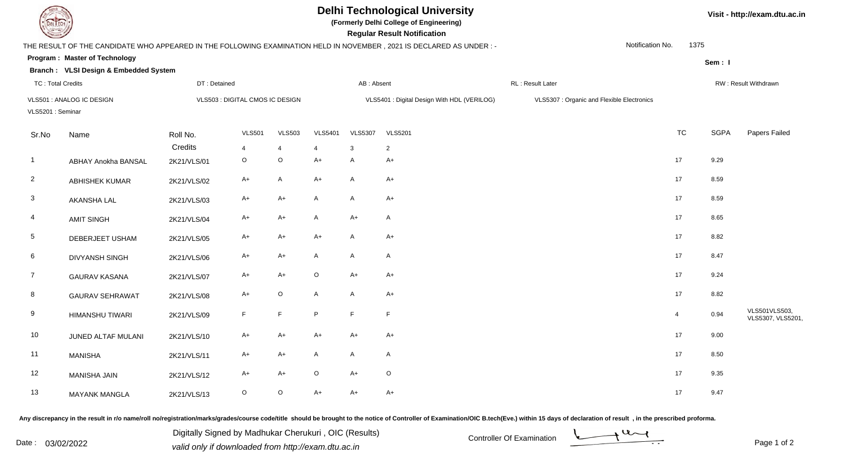

## **Delhi Technological University**

**(Formerly Delhi College of Engineering)**

**Visit - http://exam.dtu.ac.in**

| <b>Courses of The Courses</b> |                                       |              |                                 |                |                |                | <b>Regular Result Notification</b>                                                                                   |                                            |                          |             |                                    |
|-------------------------------|---------------------------------------|--------------|---------------------------------|----------------|----------------|----------------|----------------------------------------------------------------------------------------------------------------------|--------------------------------------------|--------------------------|-------------|------------------------------------|
|                               |                                       |              |                                 |                |                |                | THE RESULT OF THE CANDIDATE WHO APPEARED IN THE FOLLOWING EXAMINATION HELD IN NOVEMBER, 2021 IS DECLARED AS UNDER :- |                                            | Notification No.<br>1375 |             |                                    |
|                               | Program: Master of Technology         |              |                                 |                |                |                |                                                                                                                      |                                            |                          | Sem: I      |                                    |
|                               | Branch: VLSI Design & Embedded System |              |                                 |                |                |                |                                                                                                                      |                                            |                          |             |                                    |
| <b>TC: Total Credits</b>      |                                       | DT: Detained |                                 |                | AB: Absent     |                |                                                                                                                      | RL: Result Later                           | RW: Result Withdrawn     |             |                                    |
|                               | VLS501 : ANALOG IC DESIGN             |              | VLS503 : DIGITAL CMOS IC DESIGN |                |                |                | VLS5401 : Digital Design With HDL (VERILOG)                                                                          | VLS5307 : Organic and Flexible Electronics |                          |             |                                    |
| VLS5201: Seminar              |                                       |              |                                 |                |                |                |                                                                                                                      |                                            |                          |             |                                    |
| Sr.No                         | Name                                  | Roll No.     | <b>VLS501</b>                   | <b>VLS503</b>  | <b>VLS5401</b> | <b>VLS5307</b> | <b>VLS5201</b>                                                                                                       |                                            | <b>TC</b>                | <b>SGPA</b> | Papers Failed                      |
|                               |                                       | Credits      | $\overline{4}$                  | $\overline{4}$ | 4              | $\mathbf{3}$   | $\overline{2}$                                                                                                       |                                            |                          |             |                                    |
| $\overline{1}$                | <b>ABHAY Anokha BANSAL</b>            | 2K21/VLS/01  | $\mathsf O$                     | $\mathsf O$    | $A+$           | $\mathsf{A}$   | $A+$                                                                                                                 |                                            | 17                       | 9.29        |                                    |
| $\overline{2}$                | <b>ABHISHEK KUMAR</b>                 | 2K21/VLS/02  | $A+$                            | A              | A+             | $\mathsf{A}$   | $A+$                                                                                                                 |                                            | 17                       | 8.59        |                                    |
| 3                             | <b>AKANSHA LAL</b>                    | 2K21/VLS/03  | A+                              | $A+$           | A              | $\mathsf{A}$   | $A+$                                                                                                                 |                                            | 17                       | 8.59        |                                    |
| 4                             | <b>AMIT SINGH</b>                     | 2K21/VLS/04  | $A+$                            | $A+$           | A              | $A+$           | $\mathsf{A}$                                                                                                         |                                            | 17                       | 8.65        |                                    |
| 5                             | DEBERJEET USHAM                       | 2K21/VLS/05  | A+                              | $A+$           | $A+$           | $\mathsf{A}$   | $A+$                                                                                                                 |                                            | 17                       | 8.82        |                                    |
| 6                             | <b>DIVYANSH SINGH</b>                 | 2K21/VLS/06  | $A+$                            | $A+$           | A              | $\mathsf{A}$   | $\mathsf{A}$                                                                                                         |                                            | 17                       | 8.47        |                                    |
| $\overline{7}$                | <b>GAURAV KASANA</b>                  | 2K21/VLS/07  | $A+$                            | A+             | O              | $A+$           | $A+$                                                                                                                 |                                            | 17                       | 9.24        |                                    |
| 8                             | <b>GAURAV SEHRAWAT</b>                | 2K21/VLS/08  | $A+$                            | $\mathsf O$    | A              | $\mathsf{A}$   | $A+$                                                                                                                 |                                            | 17                       | 8.82        |                                    |
| 9                             | <b>HIMANSHU TIWARI</b>                | 2K21/VLS/09  | F                               | F              | P.             | F              | F                                                                                                                    |                                            | $\overline{4}$           | 0.94        | VLS501VLS503,<br>VLS5307, VLS5201, |
| 10                            | JUNED ALTAF MULANI                    | 2K21/VLS/10  | $A+$                            | $A+$           | $A+$           | $A+$           | $A+$                                                                                                                 |                                            | 17                       | 9.00        |                                    |
| 11                            | <b>MANISHA</b>                        | 2K21/VLS/11  | A+                              | $A+$           | A              | $\mathsf{A}$   | A                                                                                                                    |                                            | 17                       | 8.50        |                                    |
| 12                            | <b>MANISHA JAIN</b>                   | 2K21/VLS/12  | $A+$                            | $A+$           | $\circ$        | $A+$           | $\circ$                                                                                                              |                                            | 17                       | 9.35        |                                    |
| 13                            | <b>MAYANK MANGLA</b>                  | 2K21/VLS/13  | $\circ$                         | $\mathsf O$    | A+             | $A+$           | $A+$                                                                                                                 |                                            | 17                       | 9.47        |                                    |

Any discrepancy in the result in r/o name/roll no/registration/marks/grades/course code/title should be brought to the notice of Controller of Examination/OIC B.tech(Eve.) within 15 days of declaration of result, in the pr

Date : 03/02/2022<br>
valid only if downloaded from http://exam.dtu.ac.in<br>
Page 1 of Digitally Signed by Madhukar Cherukuri , OIC (Results)